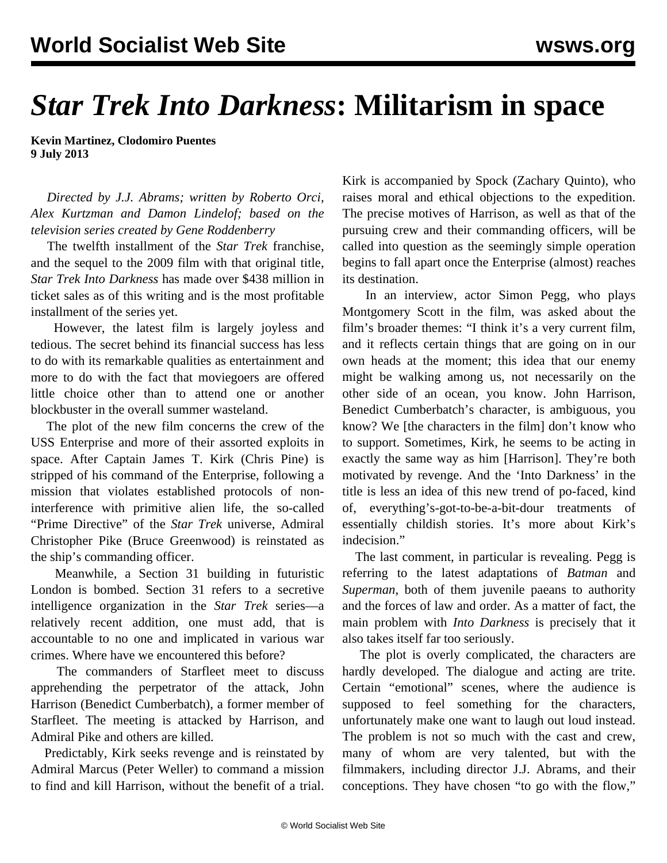## *Star Trek Into Darkness***: Militarism in space**

**Kevin Martinez, Clodomiro Puentes 9 July 2013**

 *Directed by J.J. Abrams; written by Roberto Orci, Alex Kurtzman and Damon Lindelof; based on the television series created by Gene Roddenberry*

 The twelfth installment of the *Star Trek* franchise, and the sequel to the 2009 film with that original title, *Star Trek Into Darkness* has made over \$438 million in ticket sales as of this writing and is the most profitable installment of the series yet.

 However, the latest film is largely joyless and tedious. The secret behind its financial success has less to do with its remarkable qualities as entertainment and more to do with the fact that moviegoers are offered little choice other than to attend one or another blockbuster in the overall summer wasteland.

 The plot of the new film concerns the crew of the USS Enterprise and more of their assorted exploits in space. After Captain James T. Kirk (Chris Pine) is stripped of his command of the Enterprise, following a mission that violates established protocols of noninterference with primitive alien life, the so-called "Prime Directive" of the *Star Trek* universe, Admiral Christopher Pike (Bruce Greenwood) is reinstated as the ship's commanding officer.

 Meanwhile, a Section 31 building in futuristic London is bombed. Section 31 refers to a secretive intelligence organization in the *Star Trek* series—a relatively recent addition, one must add, that is accountable to no one and implicated in various war crimes. Where have we encountered this before?

 The commanders of Starfleet meet to discuss apprehending the perpetrator of the attack, John Harrison (Benedict Cumberbatch), a former member of Starfleet. The meeting is attacked by Harrison, and Admiral Pike and others are killed.

 Predictably, Kirk seeks revenge and is reinstated by Admiral Marcus (Peter Weller) to command a mission to find and kill Harrison, without the benefit of a trial. Kirk is accompanied by Spock (Zachary Quinto), who raises moral and ethical objections to the expedition. The precise motives of Harrison, as well as that of the pursuing crew and their commanding officers, will be called into question as the seemingly simple operation begins to fall apart once the Enterprise (almost) reaches its destination.

 In an interview, actor Simon Pegg, who plays Montgomery Scott in the film, was asked about the film's broader themes: "I think it's a very current film, and it reflects certain things that are going on in our own heads at the moment; this idea that our enemy might be walking among us, not necessarily on the other side of an ocean, you know. John Harrison, Benedict Cumberbatch's character, is ambiguous, you know? We [the characters in the film] don't know who to support. Sometimes, Kirk, he seems to be acting in exactly the same way as him [Harrison]. They're both motivated by revenge. And the 'Into Darkness' in the title is less an idea of this new trend of po-faced, kind of, everything's-got-to-be-a-bit-dour treatments of essentially childish stories. It's more about Kirk's indecision."

 The last comment, in particular is revealing. Pegg is referring to the latest adaptations of *Batman* and *Superman*, both of them juvenile paeans to authority and the forces of law and order. As a matter of fact, the main problem with *Into Darkness* is precisely that it also takes itself far too seriously.

 The plot is overly complicated, the characters are hardly developed. The dialogue and acting are trite. Certain "emotional" scenes, where the audience is supposed to feel something for the characters, unfortunately make one want to laugh out loud instead. The problem is not so much with the cast and crew, many of whom are very talented, but with the filmmakers, including director J.J. Abrams, and their conceptions. They have chosen "to go with the flow,"